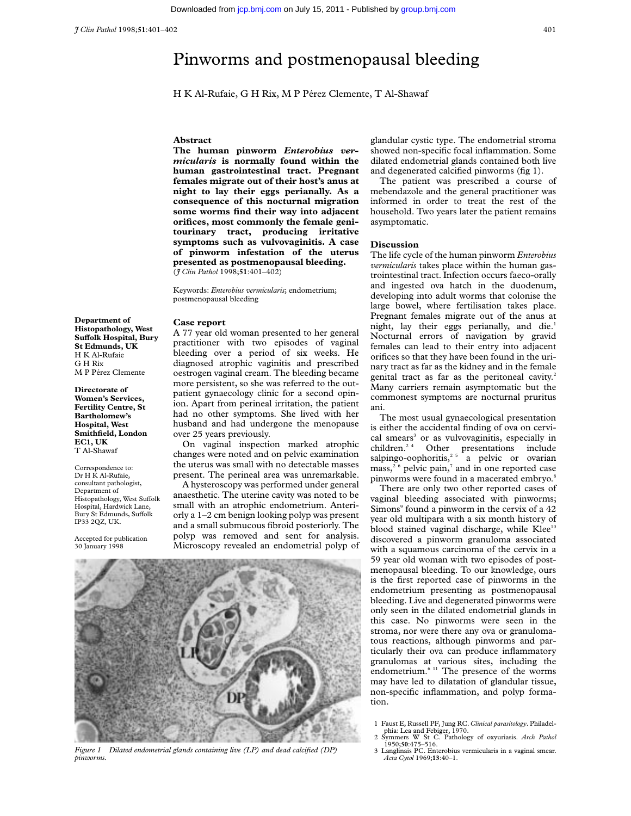*J Clin Pathol* 1998;**51**:401–402 401

H K Al-Rufaie, G H Rix, M P Pérez Clemente, T Al-Shawaf

## **Abstract**

**The human pinworm** *Enterobius vermicularis* **is normally found within the human gastrointestinal tract. Pregnant females migrate out of their host's anus at night to lay their eggs perianally. As a consequence of this nocturnal migration some worms find their way into adjacent orifices, most commonly the female genitourinary tract, producing irritative symptoms such as vulvovaginitis. A case of pinworm infestation of the uterus presented as postmenopausal bleeding.** (*J Clin Pathol* 1998;**51**:401–402)

Keywords: *Enterobius vermicularis*; endometrium; postmenopausal bleeding

## **Case report**

**Department of Histopathology, West Suffolk Hospital, Bury St Edmunds, UK** H K Al-Rufaie G H Rix M P Pérez Clemente

**Directorate of Women's Services, Fertility Centre, St Bartholomew's Hospital, West Smithfield, London EC1, UK** T Al-Shawaf

Correspondence to: Dr H K Al-Rufaie, consultant pathologist, Department of  $H$ istopathology, West Suffolk Hospital, Hardwick Lane, Bury St Edmunds, Suffolk IP33 2QZ, UK.

Accepted for publication 30 January 1998

A 77 year old woman presented to her general practitioner with two episodes of vaginal bleeding over a period of six weeks. He diagnosed atrophic vaginitis and prescribed oestrogen vaginal cream. The bleeding became more persistent, so she was referred to the outpatient gynaecology clinic for a second opinion. Apart from perineal irritation, the patient had no other symptoms. She lived with her husband and had undergone the menopause over 25 years previously.

On vaginal inspection marked atrophic changes were noted and on pelvic examination the uterus was small with no detectable masses present. The perineal area was unremarkable.

A hysteroscopy was performed under general anaesthetic. The uterine cavity was noted to be small with an atrophic endometrium. Anteriorly a 1–2 cm benign looking polyp was present and a small submucous fibroid posteriorly. The polyp was removed and sent for analysis. Microscopy revealed an endometrial polyp of



*Figure 1 Dilated endometrial glands containing live (LP) and dead calcified (DP) pinworms.*

glandular cystic type. The endometrial stroma showed non-specific focal inflammation. Some dilated endometrial glands contained both live and degenerated calcified pinworms (fig 1).

The patient was prescribed a course of mebendazole and the general practitioner was informed in order to treat the rest of the household. Two years later the patient remains asymptomatic.

## **Discussion**

The life cycle of the human pinworm *Enterobius vermicularis* takes place within the human gastrointestinal tract. Infection occurs faeco-orally and ingested ova hatch in the duodenum, developing into adult worms that colonise the large bowel, where fertilisation takes place. Pregnant females migrate out of the anus at night, lay their eggs perianally, and die.<sup>1</sup> Nocturnal errors of navigation by gravid females can lead to their entry into adjacent orifices so that they have been found in the urinary tract as far as the kidney and in the female genital tract as far as the peritoneal cavity.<sup>2</sup> Many carriers remain asymptomatic but the commonest symptoms are nocturnal pruritus ani.

The most usual gynaecological presentation is either the accidental finding of ova on cervical smears<sup>3</sup> or as vulvovaginitis, especially in children.<sup>24</sup> Other presentations include Other presentations include salpingo-oophoritis,<sup>25</sup> a pelvic or ovarian mass,<sup>26</sup> pelvic pain,<sup>7</sup> and in one reported case pinworms were found in a macerated embryo.<sup>8</sup>

There are only two other reported cases of vaginal bleeding associated with pinworms; Simons<sup>9</sup> found a pinworm in the cervix of a 42 year old multipara with a six month history of blood stained vaginal discharge, while  $Klee^{10}$ discovered a pinworm granuloma associated with a squamous carcinoma of the cervix in a 59 year old woman with two episodes of postmenopausal bleeding. To our knowledge, ours is the first reported case of pinworms in the endometrium presenting as postmenopausal bleeding. Live and degenerated pinworms were only seen in the dilated endometrial glands in this case. No pinworms were seen in the stroma, nor were there any ova or granulomatous reactions, although pinworms and particularly their ova can produce inflammatory granulomas at various sites, including the endometrium. $6<sup>11</sup>$  The presence of the worms may have led to dilatation of glandular tissue, non-specific inflammation, and polyp formation.

- 1 Faust E, Russell PF, Jung RC. *Clinical parasitology*. Philadel-phia: Lea and Febiger, 1970. 2 Symmers W St C. Pathology of oxyuriasis. *Arch Pathol* 1950;**50**:475–516.
- 
- 3 Langlinais PC. Enterobius vermicularis in a vaginal smear. *Acta Cytol* 1969;**13**:40–1.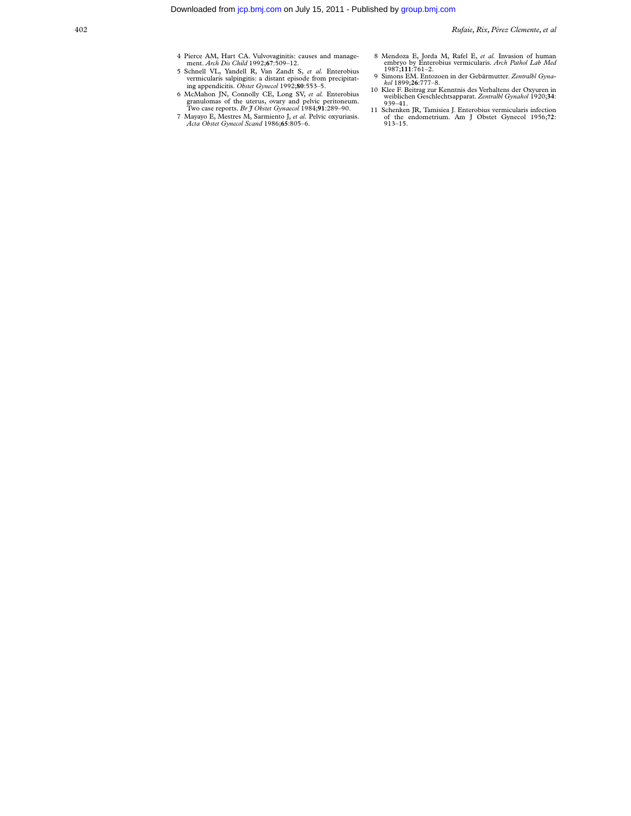- 4 Pierce AM, Hart CA. Vulvovaginitis: causes and manage-ment. *Arch Dis Child* 1992;**67**:509–12.
- 5 Schnell VL, Yandell R, Van Zandt S, *et al.* Enterobius vermicularis salpingitis: a distant episode from precipitat-ing appendicitis. *Obstet Gynecol* 1992;**80**:553–5.
- 6 McMahon JN, Connolly CE, Long SV, *et al.* Enterobius granulomas of the uterus, ovary and pelvic peritoneum. Two case reports. *Br J Obstet Gynaecol* 1984;**91**:289–90.
- 7 Mayayo E, Mestres M, Sarmiento J, *et al.* Pelvic oxyuriasis. *Acta Obstet Gynecol Scand* 1986;**65**:805–6.
- 8 Mendoza E, Jorda M, Rafel E, *et al.* Invasion of human embryo by Enterobius vermicularis. *Arch Pathol Lab Med* 1987;**111**:761–2.
- 
- 9 Simons EM. Entozoen in der Gebärmutter. Zentralbl Gyna-<br>
kol 1899;26:777–8.<br>
10 Klee F. Beitrag zur Kenntnis des Verhaltens der Oxyuren in<br>
weiblichen Geschlechtsapparat. Zentralbl Gynakol 1920;34:<br>
939–41.
- 11 Schenken JR, Tamisiea J. Enterobius vermicularis infection of the endometrium. Am J Obstet Gynecol 1956;**72**: 913–15.